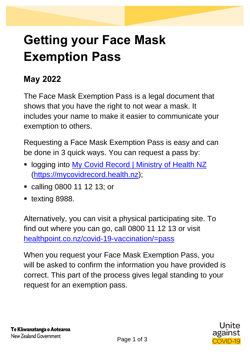## **Getting your Face Mask Exemption Pass**

## **May 2022**

The Face Mask Exemption Pass is a legal document that shows that you have the right to not wear a mask. It includes your name to make it easier to communicate your exemption to others.

Requesting a Face Mask Exemption Pass is easy and can be done in 3 quick ways. You can request a pass by:

- **.** logging into [My Covid Record | Ministry of Health NZ](https://mycovidrecord.health.nz/) [\(https://mycovidrecord.health.nz\)](https://mycovidrecord.health.nz/);
- calling 0800 11 12 13; or
- texting 8988.

Alternatively, you can visit a physical participating site. To find out where you can go, call 0800 11 12 13 or visit [healthpoint.co.nz/covid-19-vaccination/=pass](https://scanmail.trustwave.com/?c=15517&d=kpmQ4pICiaajlFkQmWKuCDhtVyVUAyW5mvWm3S5o4w&u=https%3a%2f%2fwww%2ehealthpoint%2eco%2enz%2fcovid-19-vaccination%2f%3fpassOptions%3dpassInPerson)

When you request your Face Mask Exemption Pass, you will be asked to confirm the information you have provided is correct. This part of the process gives legal standing to your request for an exemption pass.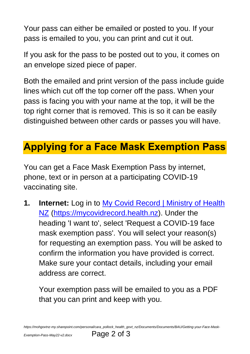Your pass can either be emailed or posted to you. If your pass is emailed to you, you can print and cut it out.

If you ask for the pass to be posted out to you, it comes on an envelope sized piece of paper.

Both the emailed and print version of the pass include guide lines which cut off the top corner off the pass. When your pass is facing you with your name at the top, it will be the top right corner that is removed. This is so it can be easily distinguished between other cards or passes you will have.

## **Applying for a Face Mask Exemption Pass**

You can get a Face Mask Exemption Pass by internet, phone, text or in person at a participating COVID-19 vaccinating site.

**1. Internet:** Log in to [My Covid Record | Ministry of Health](https://mycovidrecord.health.nz/)  [NZ](https://mycovidrecord.health.nz/) [\(https://mycovidrecord.health.nz\)](https://mycovidrecord.health.nz/). Under the heading 'I want to', select 'Request a COVID-19 face mask exemption pass'. You will select your reason(s) for requesting an exemption pass. You will be asked to confirm the information you have provided is correct. Make sure your contact details, including your email address are correct.

Your exemption pass will be emailed to you as a PDF that you can print and keep with you.

*https://mohgovtnz-my.sharepoint.com/personal/cara\_pollock\_health\_govt\_nz/Documents/Documents/BAU/Getting-your-Face-Mask-*